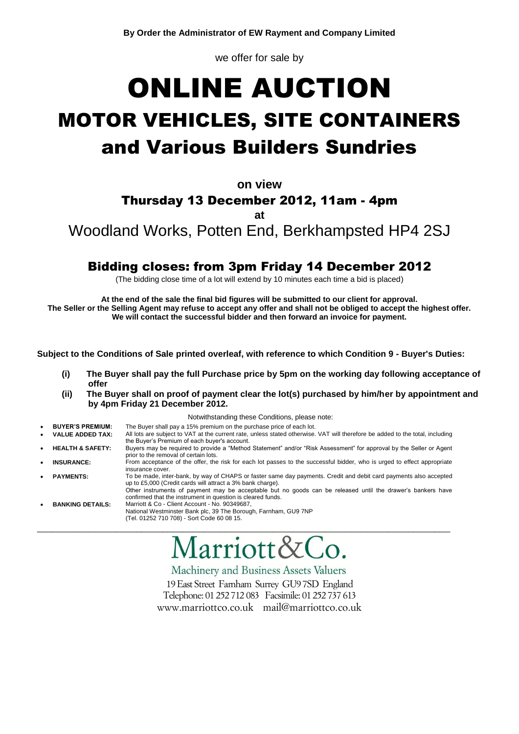we offer for sale by

# ONLINE AUCTION MOTOR VEHICLES, SITE CONTAINERS and Various Builders Sundries

**on view**

# Thursday 13 December 2012, 11am - 4pm

**at**

Woodland Works, Potten End, Berkhampsted HP4 2SJ

# Bidding closes: from 3pm Friday 14 December 2012

(The bidding close time of a lot will extend by 10 minutes each time a bid is placed)

**At the end of the sale the final bid figures will be submitted to our client for approval. The Seller or the Selling Agent may refuse to accept any offer and shall not be obliged to accept the highest offer. We will contact the successful bidder and then forward an invoice for payment.**

**Subject to the Conditions of Sale printed overleaf, with reference to which Condition 9 - Buyer's Duties:**

- **(i) The Buyer shall pay the full Purchase price by 5pm on the working day following acceptance of offer**
- **(ii) The Buyer shall on proof of payment clear the lot(s) purchased by him/her by appointment and by 4pm Friday 21 December 2012.**

Notwithstanding these Conditions, please note:

- **BUYER'S PREMIUM:** The Buyer shall pay a 15% premium on the purchase price of each lot.
- **VALUE ADDED TAX:** All lots are subject to VAT at the current rate, unless stated otherwise. VAT will therefore be added to the total, including the Buyer's Premium of each buyer's account.
- **HEALTH & SAFETY:** Buyers may be required to provide a "Method Statement" and/or "Risk Assessment" for approval by the Seller or Agent prior to the removal of certain lots. **INSURANCE:** From acceptance of the offer, the risk for each lot passes to the successful bidder, who is urged to effect appropriate
- insurance cover. **PAYMENTS:** To be made, inter-bank, by way of CHAPS or faster same day payments. Credit and debit card payments also accepted

\_\_\_\_\_\_\_\_\_\_\_\_\_\_\_\_\_\_\_\_\_\_\_\_\_\_\_\_\_\_\_\_\_\_\_\_\_\_\_\_\_\_\_\_\_\_\_\_\_\_\_\_\_\_\_\_\_\_\_\_\_\_\_\_\_\_\_\_\_\_\_\_\_\_\_\_\_\_\_

up to £5,000 (Credit cards will attract a 3% bank charge). Other instruments of payment may be acceptable but no goods can be released until the drawer's bankers have confirmed that the instrument in question is cleared funds. **BANKING DETAILS:** Marriott & Co - Client Account - No. 90349687,

National Westminster Bank plc, 39 The Borough, Farnham, GU9 7NP (Tel. 01252 710 708) - Sort Code 60 08 15.

# Iarriott&Co.

Machinery and Business Assets Valuers

19 East Street Farnham Surrey GU9 7SD England Telephone: 01 252 712 083 Facsimile: 01 252 737 613 www.marriottco.co.uk mail@marriottco.co.uk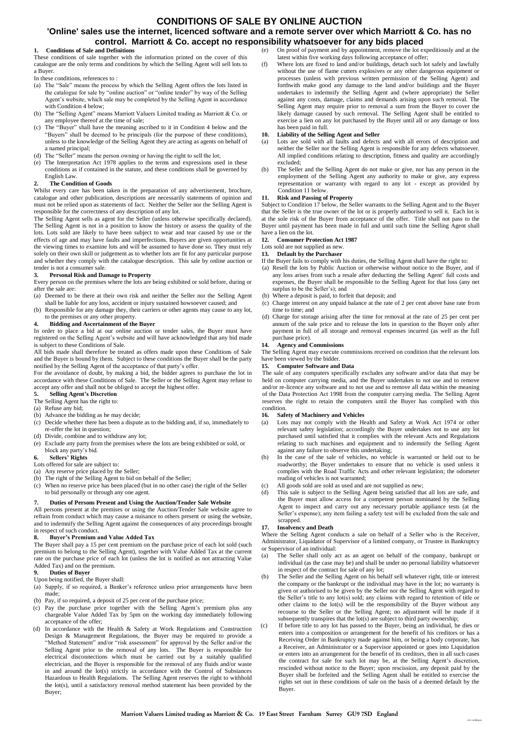### **CONDITIONS OF SALE BY ONLINE AUCTION**

#### **'Online' sales use the internet, licenced software and a remote server over which Marriott & Co. has no control. Marriott & Co. accept no responsibility whatsoever for any bids placed**

#### **1. Conditions of Sale and Definitions**

These conditions of sale together with the information printed on the cover of this catalogue are the only terms and conditions by which the Selling Agent will sell lots to a Buyer.

- In these conditions, references to :
- (a) The "Sale" means the process by which the Selling Agent offers the lots listed in the catalogue for sale by "online auction" or "online tender" by way of the Selling Agent's website, which sale may be completed by the Selling Agent in accordance with Condition 4 below;
- (b) The "Selling Agent" means Marriott Valuers Limited trading as Marriott & Co. or any employee thereof at the time of sale;
- (c) The "Buyer" shall have the meaning ascribed to it in Condition 4 below and the "Buyers" shall be deemed to be principals (for the purpose of these conditions), unless to the knowledge of the Selling Agent they are acting as agents on behalf of a named principal;
- (d) The "Seller" means the person owning or having the right to sell the lot;
- (e) The Interpretation Act 1978 applies to the terms and expressions used in these conditions as if contained in the statute, and these conditions shall be governed by English Law.

#### **2. The Condition of Goods**

Whilst every care has been taken in the preparation of any advertisement, brochure, catalogue and other publication, descriptions are necessarily statements of opinion and must not be relied upon as statements of fact. Neither the Seller nor the Selling Agent is responsible for the correctness of any description of any lot.

The Selling Agent sells as agent for the Seller (unless otherwise specifically declared). The Selling Agent is not in a position to know the history or assess the quality of the lots. Lots sold are likely to have been subject to wear and tear caused by use or the effects of age and may have faults and imperfections. Buyers are given opportunities at the viewing times to examine lots and will be assumed to have done so. They must rely solely on their own skill or judgement as to whether lots are fit for any particular purpose and whether they comply with the catalogue description. This sale by online auction or tender is not a consumer sale.

#### **3. Personal Risk and Damage to Property**

Every person on the premises where the lots are being exhibited or sold before, during or after the sale are:

- (a) Deemed to be there at their own risk and neither the Seller nor the Selling Agent shall be liable for any loss, accident or injury sustained howsoever caused; and
- (b) Responsible for any damage they, their carriers or other agents may cause to any lot, to the premises or any other property.

#### **4. Bidding and Ascertainment of the Buyer**

In order to place a bid at our online auction or tender sales, the Buyer must have registered on the Selling Agent's website and will have acknowledged that any bid made is subject to these Conditions of Sale.

All bids made shall therefore be treated as offers made upon these Conditions of Sale and the Buyer is bound by them. Subject to these conditions the Buyer shall be the party notified by the Selling Agent of the acceptance of that party's offer.

For the avoidance of doubt, by making a bid, the bidder agrees to purchase the lot in accordance with these Conditions of Sale. The Seller or the Selling Agent may refuse to accept any offer and shall not be obliged to accept the highest offer.

#### **5. Selling Agent's Discretion**

- The Selling Agent has the right to:
- (a) Refuse any bid;
- (b) Advance the bidding as he may decide;
- (c) Decide whether there has been a dispute as to the bidding and, if so, immediately to re-offer the lot in question;
- (d) Divide, combine and to withdraw any lot;
- (e) Exclude any party from the premises where the lots are being exhibited or sold, or block any party's bid.

#### **6. Sellers' Rights**

- Lots offered for sale are subject to:
- (a) Any reserve price placed by the Seller;
- (b) The right of the Selling Agent to bid on behalf of the Seller;
- (c) When no reserve price has been placed (but in no other case) the right of the Seller to bid personally or through any one agent.

#### **7. Duties of Persons Present and Using the Auction/Tender Sale Website**

All persons present at the premises or using the Auction/Tender Sale website agree to refrain from conduct which may cause a nuisance to others present or using the website, and to indemnify the Selling Agent against the consequences of any proceedings brought in respect of such conduct.

#### **8. Buyer's Premium and Value Added Tax**

The Buyer shall pay a 15 per cent premium on the purchase price of each lot sold (such premium to belong to the Selling Agent), together with Value Added Tax at the current rate on the purchase price of each lot (unless the lot is notified as not attracting Value Added Tax) and on the premium.

#### **9. Duties of Buyer**

- Upon being notified, the Buyer shall:
- (a) Supply, if so required, a Banker's reference unless prior arrangements have been made;
- (b) Pay, if so required, a deposit of 25 per cent of the purchase price;
- (c) Pay the purchase price together with the Selling Agent's premium plus any chargeable Value Added Tax by 5pm on the working day immediately following acceptance of the offer;
- (d) In accordance with the Health & Safety at Work Regulations and Construction Design & Management Regulations, the Buyer may be required to provide a "Method Statement" and/or "risk assessment" for approval by the Seller and/or the Selling Agent prior to the removal of any lots. The Buyer is responsible for electrical disconnections which must be carried out by a suitably qualified electrician, and the Buyer is responsible for the removal of any fluids and/or waste in and around the lot(s) strictly in accordance with the Control of Substances Hazardous to Health Regulations. The Selling Agent reserves the right to withhold the lot(s), until a satisfactory removal method statement has been provided by the Buyer;

(e) On proof of payment and by appointment, remove the lot expeditiously and at the latest within five working days following acceptance of offer;

(f) Where lots are fixed to land and/or buildings, detach such lot safely and lawfully without the use of flame cutters explosives or any other dangerous equipment or processes (unless with previous written permission of the Selling Agent) and forthwith make good any damage to the land and/or buildings and the Buyer undertakes to indemnify the Selling Agent and (where appropriate) the Seller against any costs, damage, claims and demands arising upon such removal. The Selling Agent may require prior to removal a sum from the Buyer to cover the likely damage caused by such removal. The Selling Agent shall be entitled to exercise a lien on any lot purchased by the Buyer until all or any damage or loss has been paid in full.

#### **10. Liability of the Selling Agent and Seller**

- (a) Lots are sold with all faults and defects and with all errors of description and neither the Seller nor the Selling Agent is responsible for any defects whatsoever. All implied conditions relating to description, fitness and quality are accordingly excluded;
- (b) The Seller and the Selling Agent do not make or give, nor has any person in the employment of the Selling Agent any authority to make or give, any express representation or warranty with regard to any lot - except as provided by Condition 11 below.

#### **11. Risk and Passing of Property**

Subject to Condition 17 below, the Seller warrants to the Selling Agent and to the Buyer that the Seller is the true owner of the lot or is properly authorised to sell it. Each lot is at the sole risk of the Buyer from acceptance of the offer. Title shall not pass to the Buyer until payment has been made in full and until such time the Selling Agent shall have a lien on the lot.

#### **12. Consumer Protection Act 1987**

Lots sold are not supplied as new.

#### **13. Default by the Purchaser** If the Buyer fails to comply with his duties, the Selling Agent shall have the right to:

- (a) Resell the lots by Public Auction or otherwise without notice to the Buyer, and if any loss arises from such a resale after deducting the Selling Agent' full costs and expenses, the Buyer shall be responsible to the Selling Agent for that loss (any net surplus to be the Seller's); and
- (b) Where a deposit is paid, to forfeit that deposit; and
- (c) Charge interest on any unpaid balance at the rate of 2 per cent above base rate from time to time; and
- (d) Charge for storage arising after the time for removal at the rate of 25 per cent per annum of the sale price and to release the lots in question to the Buyer only after payment in full of all storage and removal expenses incurred (as well as the full purchase price).

#### **14. Agency and Commissions**

The Selling Agent may execute commissions received on condition that the relevant lots have been viewed by the bidder.

#### **15. Computer Software and Data**

The sale of any computers specifically excludes any software and/or data that may be held on computer carrying media, and the Buyer undertakes to not use and to remove and/or re-licence any software and to not use and to remove all data within the meaning of the Data Protection Act 1998 from the computer carrying media. The Selling Agent reserves the right to retain the computers until the Buyer has complied with this condition.

#### **16. Safety of Machinery and Vehicles**

- (a) Lots may not comply with the Health and Safety at Work Act 1974 or other relevant safety legislation; accordingly the Buyer undertakes not to use any lot purchased until satisfied that it complies with the relevant Acts and Regulations relating to such machines and equipment and to indemnify the Selling Agent against any failure to observe this undertaking;
- (b) In the case of the sale of vehicles, no vehicle is warranted or held out to be roadworthy; the Buyer undertakes to ensure that no vehicle is used unless it complies with the Road Traffic Acts and other relevant legislation; the odometer reading of vehicles is not warranted;
- (c) All goods sold are sold as used and are not supplied as new;
- (d) This sale is subject to the Selling Agent being satisfied that all lots are safe, and the Buyer must allow access for a competent person nominated by the Selling Agent to inspect and carry out any necessary portable appliance tests (at the Seller's expense); any item failing a safety test will be excluded from the sale and scrapped.

#### **17. Insolvency and Death**

Where the Selling Agent conducts a sale on behalf of a Seller who is the Receiver, Administrator, Liquidator of Supervisor of a limited company, or Trustee in Bankruptcy or Supervisor of an individual:

- (a) The Seller shall only act as an agent on behalf of the company, bankrupt or individual (as the case may be) and shall be under no personal liability whatsoever in respect of the contract for sale of any lot;
- (b) The Seller and the Selling Agent on his behalf sell whatever right, title or interest the company or the bankrupt or the individual may have in the lot; no warranty is given or authorised to be given by the Seller nor the Selling Agent with regard to the Seller's title to any lot(s) sold; any claims with regard to retention of title or other claims to the lot(s) will be the responsibility of the Buyer without any recourse to the Seller or the Selling Agent; no adjustment will be made if it subsequently transpires that the  $\text{lot}(s)$  are subject to third party ownership;
- If before title to any lot has passed to the Buyer, being an individual, he dies or enters into a composition or arrangement for the benefit of his creditors or has a Receiving Order in Bankruptcy made against him, or being a body corporate, has a Receiver, an Administrator or a Supervisor appointed or goes into Liquidation or enters into an arrangement for the benefit of its creditors, then in all such cases the contract for sale for such lot may be, at the Selling Agent's discretion, rescinded without notice to the Buyer; upon rescission, any deposit paid by the Buyer shall be forfeited and the Selling Agent shall be entitled to exercise the rights set out in these conditions of sale on the basis of a deemed default by the Buyer.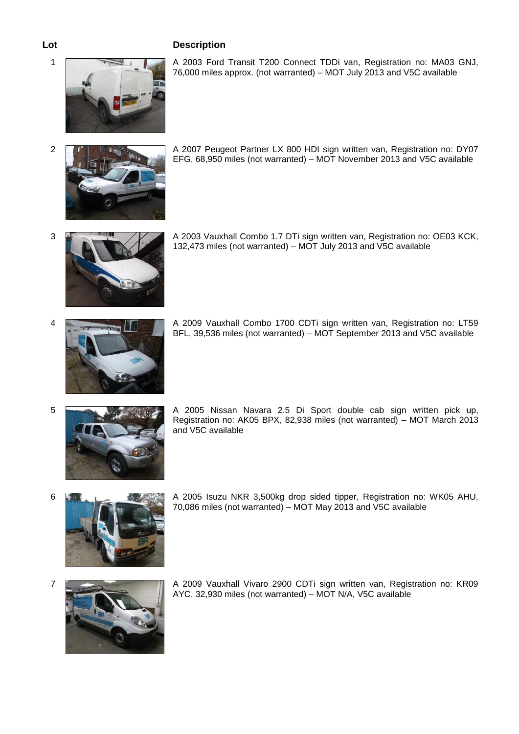# **Lot Description**



1 A 2003 Ford Transit T200 Connect TDDi van, Registration no: MA03 GNJ, 76,000 miles approx. (not warranted) – MOT July 2013 and V5C available



2 A 2007 Peugeot Partner LX 800 HDI sign written van, Registration no: DY07 EFG, 68,950 miles (not warranted) – MOT November 2013 and V5C available



3 A 2003 Vauxhall Combo 1.7 DTi sign written van, Registration no: OE03 KCK, 132,473 miles (not warranted) – MOT July 2013 and V5C available



4 A 2009 Vauxhall Combo 1700 CDTi sign written van, Registration no: LT59 BFL, 39,536 miles (not warranted) – MOT September 2013 and V5C available



5 A 2005 Nissan Navara 2.5 Di Sport double cab sign written pick up, Registration no: AK05 BPX, 82,938 miles (not warranted) – MOT March 2013 and V5C available



6 A 2005 Isuzu NKR 3,500kg drop sided tipper, Registration no: WK05 AHU, 70,086 miles (not warranted) – MOT May 2013 and V5C available



7 A 2009 Vauxhall Vivaro 2900 CDTi sign written van, Registration no: KR09 AYC, 32,930 miles (not warranted) – MOT N/A, V5C available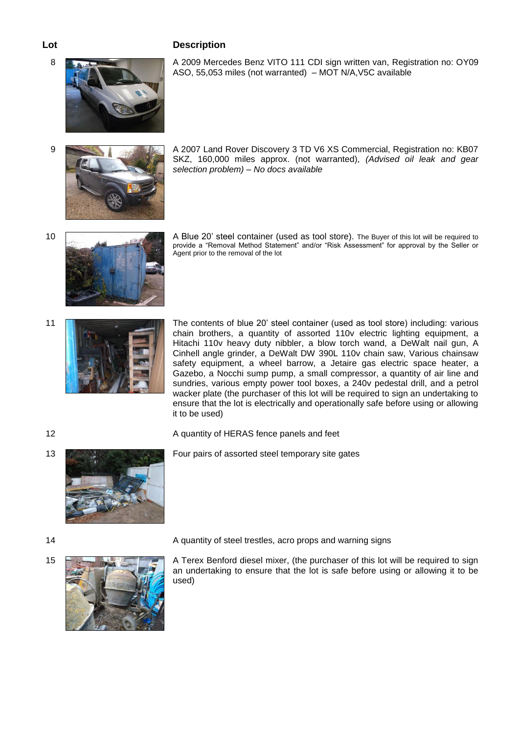# 8 **A 2009 Mercedes Benz VITO 111 CDI sign written van, Registration no: OY09**



9 A 2007 Land Rover Discovery 3 TD V6 XS Commercial, Registration no: KB07 SKZ, 160,000 miles approx. (not warranted), *(Advised oil leak and gear selection problem) – No docs available*

ASO, 55,053 miles (not warranted) – MOT N/A,V5C available



- 10 **A Blue 20' steel container (used as tool store)**. The Buyer of this lot will be required to provide a "Removal Method Statement" and/or "Risk Assessment" for approval by the Seller or Agent prior to the removal of the lot
- 



11 The contents of blue 20' steel container (used as tool store) including: various chain brothers, a quantity of assorted 110v electric lighting equipment, a Hitachi 110v heavy duty nibbler, a blow torch wand, a DeWalt nail gun, A Cinhell angle grinder, a DeWalt DW 390L 110v chain saw, Various chainsaw safety equipment, a wheel barrow, a Jetaire gas electric space heater, a Gazebo, a Nocchi sump pump, a small compressor, a quantity of air line and sundries, various empty power tool boxes, a 240v pedestal drill, and a petrol wacker plate (the purchaser of this lot will be required to sign an undertaking to ensure that the lot is electrically and operationally safe before using or allowing it to be used)



12 A quantity of HERAS fence panels and feet

13 Four pairs of assorted steel temporary site gates



15 **A Terex Benford diesel mixer, (the purchaser of this lot will be required to sign** an undertaking to ensure that the lot is safe before using or allowing it to be used)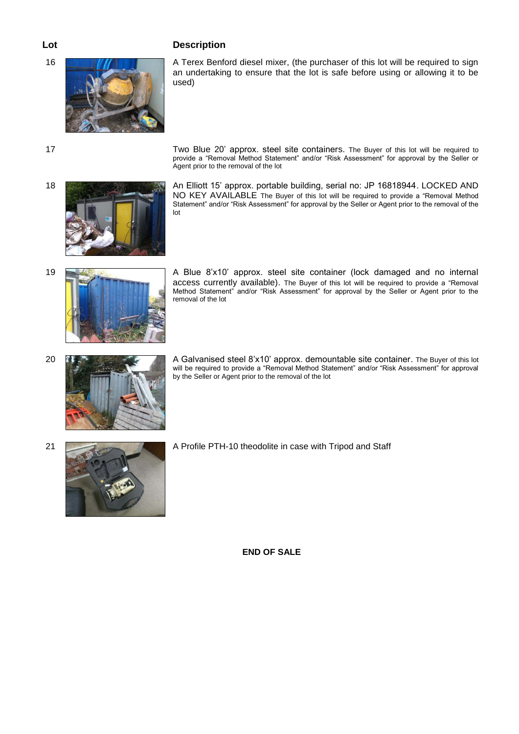

# **Lot Description**

16 **A Terex Benford diesel mixer, (the purchaser of this lot will be required to sign** an undertaking to ensure that the lot is safe before using or allowing it to be used)



17 Two Blue 20' approx. steel site containers. The Buyer of this lot will be required to provide a "Removal Method Statement" and/or "Risk Assessment" for approval by the Seller or Agent prior to the removal of the lot

18 An Elliott 15' approx. portable building, serial no: JP 16818944. LOCKED AND NO KEY AVAILABLE The Buyer of this lot will be required to provide a "Removal Method Statement" and/or "Risk Assessment" for approval by the Seller or Agent prior to the removal of the lot



19 **A Blue 8'x10' approx.** steel site container (lock damaged and no internal access currently available). The Buyer of this lot will be required to provide a "Removal Method Statement" and/or "Risk Assessment" for approval by the Seller or Agent prior to the removal of the lot

- 
- 20 **A Galvanised steel 8'x10' approx. demountable site container.** The Buyer of this lot will be required to provide a "Removal Method Statement" and/or "Risk Assessment" for approval by the Seller or Agent prior to the removal of the lot
	-
- 21 **A Profile PTH-10 theodolite in case with Tripod and Staff**

**END OF SALE**